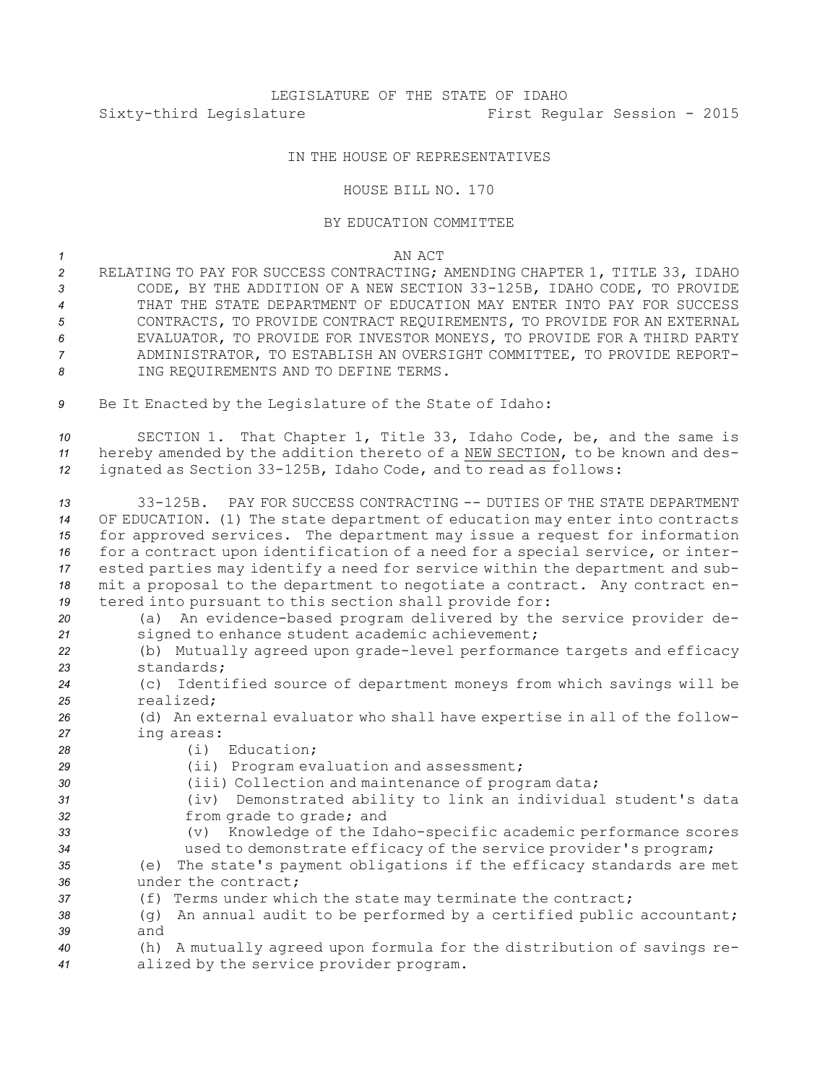## IN THE HOUSE OF REPRESENTATIVES

## HOUSE BILL NO. 170

## BY EDUCATION COMMITTEE

## *1* AN ACT

- *<sup>2</sup>* RELATING TO PAY FOR SUCCESS CONTRACTING; AMENDING CHAPTER 1, TITLE 33, IDAHO *<sup>3</sup>* CODE, BY THE ADDITION OF A NEW SECTION 33-125B, IDAHO CODE, TO PROVIDE *4* THAT THE STATE DEPARTMENT OF EDUCATION MAY ENTER INTO PAY FOR SUCCESS *5* CONTRACTS, TO PROVIDE CONTRACT REQUIREMENTS, TO PROVIDE FOR AN EXTERNAL *6* EVALUATOR, TO PROVIDE FOR INVESTOR MONEYS, TO PROVIDE FOR A THIRD PARTY *7* ADMINISTRATOR, TO ESTABLISH AN OVERSIGHT COMMITTEE, TO PROVIDE REPORT-*8* ING REQUIREMENTS AND TO DEFINE TERMS.
- *<sup>9</sup>* Be It Enacted by the Legislature of the State of Idaho:

*<sup>10</sup>* SECTION 1. That Chapter 1, Title 33, Idaho Code, be, and the same is *<sup>11</sup>* hereby amended by the addition thereto of <sup>a</sup> NEW SECTION, to be known and des-*<sup>12</sup>* ignated as Section 33-125B, Idaho Code, and to read as follows:

 33-125B. PAY FOR SUCCESS CONTRACTING -- DUTIES OF THE STATE DEPARTMENT OF EDUCATION. (1) The state department of education may enter into contracts for approved services. The department may issue <sup>a</sup> request for information for <sup>a</sup> contract upon identification of <sup>a</sup> need for <sup>a</sup> special service, or inter- ested parties may identify <sup>a</sup> need for service within the department and sub- mit <sup>a</sup> proposal to the department to negotiate <sup>a</sup> contract. Any contract en-tered into pursuant to this section shall provide for:

 (a) An evidence-based program delivered by the service provider de- signed to enhance student academic achievement; (b) Mutually agreed upon grade-level performance targets and efficacy standards; (c) Identified source of department moneys from which savings will be realized; (d) An external evaluator who shall have expertise in all of the follow- ing areas: (i) Education; (ii) Program evaluation and assessment; (iii) Collection and maintenance of program data; (iv) Demonstrated ability to link an individual student's data from grade to grade; and (v) Knowledge of the Idaho-specific academic performance scores used to demonstrate efficacy of the service provider's program; (e) The state's payment obligations if the efficacy standards are met under the contract; (f) Terms under which the state may terminate the contract; (g) An annual audit to be performed by <sup>a</sup> certified public accountant; *39* and (h) <sup>A</sup> mutually agreed upon formula for the distribution of savings re-alized by the service provider program.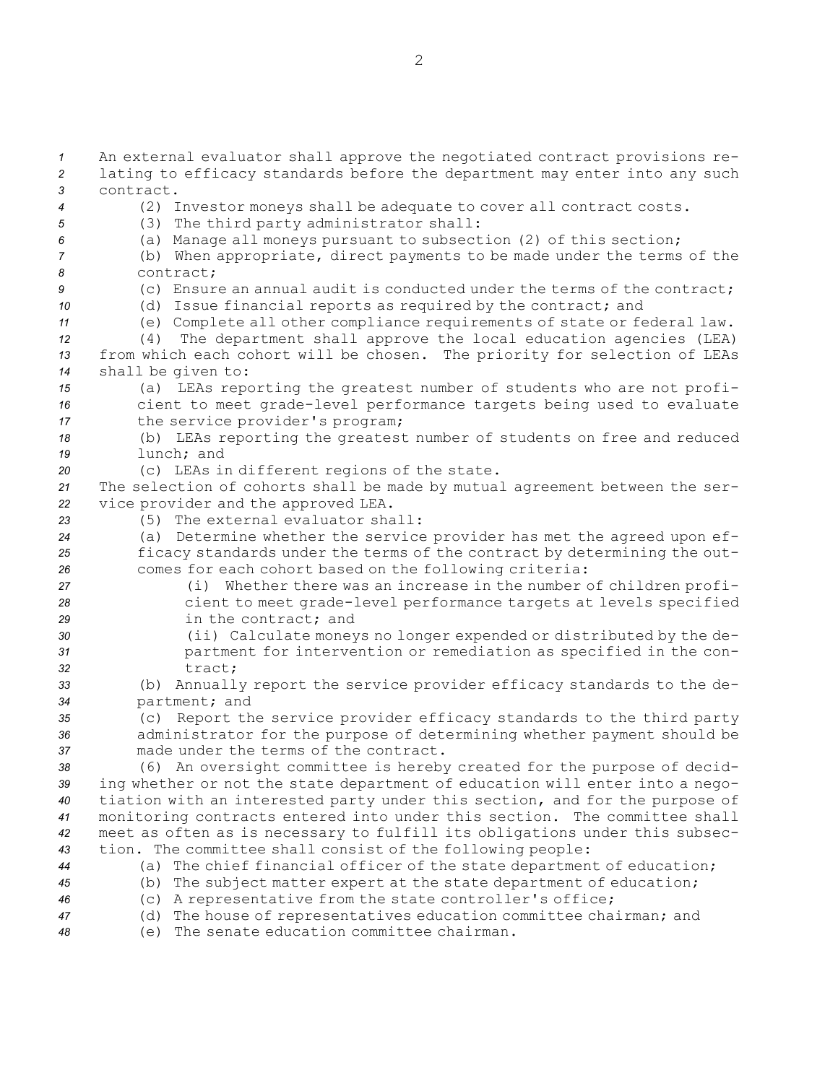An external evaluator shall approve the negotiated contract provisions re- lating to efficacy standards before the department may enter into any such contract. (2) Investor moneys shall be adequate to cover all contract costs. (3) The third party administrator shall: (a) Manage all moneys pursuant to subsection (2) of this section; (b) When appropriate, direct payments to be made under the terms of the contract; (c) Ensure an annual audit is conducted under the terms of the contract; (d) Issue financial reports as required by the contract; and (e) Complete all other compliance requirements of state or federal law. (4) The department shall approve the local education agencies (LEA) from which each cohort will be chosen. The priority for selection of LEAs shall be given to: (a) LEAs reporting the greatest number of students who are not profi- cient to meet grade-level performance targets being used to evaluate the service provider's program; (b) LEAs reporting the greatest number of students on free and reduced lunch; and (c) LEAs in different regions of the state. The selection of cohorts shall be made by mutual agreement between the ser- vice provider and the approved LEA. (5) The external evaluator shall: (a) Determine whether the service provider has met the agreed upon ef- ficacy standards under the terms of the contract by determining the out- comes for each cohort based on the following criteria: (i) Whether there was an increase in the number of children profi- cient to meet grade-level performance targets at levels specified in the contract; and (ii) Calculate moneys no longer expended or distributed by the de- partment for intervention or remediation as specified in the con-*32* tract; (b) Annually report the service provider efficacy standards to the de- partment; and (c) Report the service provider efficacy standards to the third party administrator for the purpose of determining whether payment should be made under the terms of the contract. (6) An oversight committee is hereby created for the purpose of decid- ing whether or not the state department of education will enter into <sup>a</sup> nego- tiation with an interested party under this section, and for the purpose of monitoring contracts entered into under this section. The committee shall meet as often as is necessary to fulfill its obligations under this subsec- tion. The committee shall consist of the following people: (a) The chief financial officer of the state department of education; (b) The subject matter expert at the state department of education; (c) <sup>A</sup> representative from the state controller's office;

*<sup>47</sup>* (d) The house of representatives education committee chairman; and

*48* (e) The senate education committee chairman.